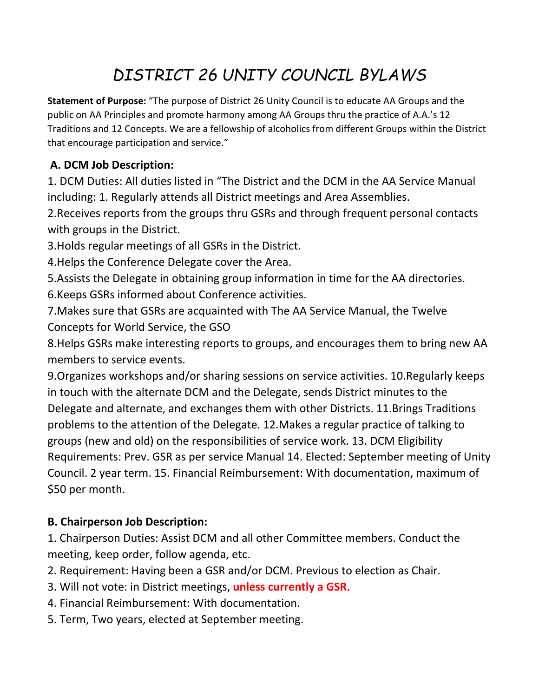# *DISTRICT 26 UNITY COUNCIL BYLAWS*

**Statement of Purpose:** "The purpose of District 26 Unity Council is to educate AA Groups and the public on AA Principles and promote harmony among AA Groups thru the practice of A.A.'s 12 Traditions and 12 Concepts. We are a fellowship of alcoholics from different Groups within the District that encourage participation and service."

## **A. DCM Job Description:**

1. DCM Duties: All duties listed in "The District and the DCM in the AA Service Manual including: 1. Regularly attends all District meetings and Area Assemblies.

2.Receives reports from the groups thru GSRs and through frequent personal contacts with groups in the District.

3.Holds regular meetings of all GSRs in the District.

4.Helps the Conference Delegate cover the Area.

5.Assists the Delegate in obtaining group information in time for the AA directories.

6.Keeps GSRs informed about Conference activities.

7.Makes sure that GSRs are acquainted with The AA Service Manual, the Twelve Concepts for World Service, the GSO

8.Helps GSRs make interesting reports to groups, and encourages them to bring new AA members to service events.

9.Organizes workshops and/or sharing sessions on service activities. 10.Regularly keeps in touch with the alternate DCM and the Delegate, sends District minutes to the Delegate and alternate, and exchanges them with other Districts. 11.Brings Traditions problems to the attention of the Delegate. 12.Makes a regular practice of talking to groups (new and old) on the responsibilities of service work. 13. DCM Eligibility Requirements: Prev. GSR as per service Manual 14. Elected: September meeting of Unity Council. 2 year term. 15. Financial Reimbursement: With documentation, maximum of \$50 per month.

## **B. Chairperson Job Description:**

1. Chairperson Duties: Assist DCM and all other Committee members. Conduct the meeting, keep order, follow agenda, etc.

2. Requirement: Having been a GSR and/or DCM. Previous to election as Chair.

- 3. Will not vote: in District meetings, **unless currently a GSR.**
- 4. Financial Reimbursement: With documentation.
- 5. Term, Two years, elected at September meeting.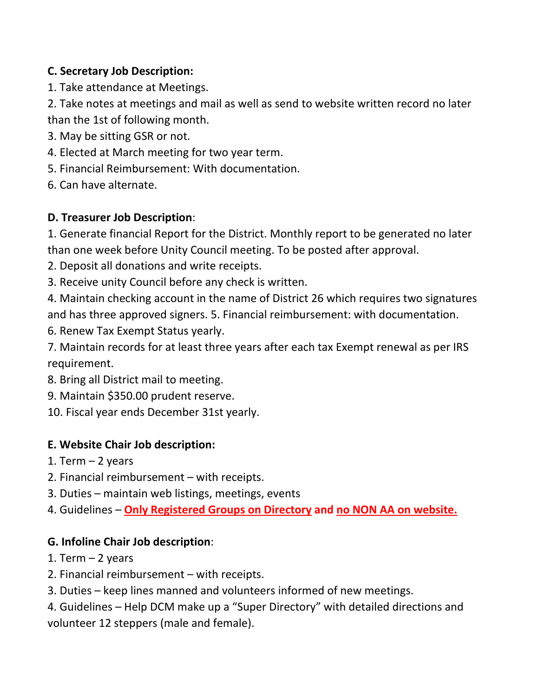## **C. Secretary Job Description:**

1. Take attendance at Meetings.

2. Take notes at meetings and mail as well as send to website written record no later than the 1st of following month.

- 3. May be sitting GSR or not.
- 4. Elected at March meeting for two year term.
- 5. Financial Reimbursement: With documentation.
- 6. Can have alternate.

### **D. Treasurer Job Description**:

1. Generate financial Report for the District. Monthly report to be generated no later than one week before Unity Council meeting. To be posted after approval.

- 2. Deposit all donations and write receipts.
- 3. Receive unity Council before any check is written.

4. Maintain checking account in the name of District 26 which requires two signatures and has three approved signers. 5. Financial reimbursement: with documentation.

6. Renew Tax Exempt Status yearly.

7. Maintain records for at least three years after each tax Exempt renewal as per IRS requirement.

- 8. Bring all District mail to meeting.
- 9. Maintain \$350.00 prudent reserve.
- 10. Fiscal year ends December 31st yearly.

## **E. Website Chair Job description:**

- 1. Term  $-2$  years
- 2. Financial reimbursement with receipts.
- 3. Duties maintain web listings, meetings, events
- 4. Guidelines **Only Registered Groups on Directory and no NON AA on website.**

#### **G. Infoline Chair Job description**:

- 1. Term  $-2$  years
- 2. Financial reimbursement with receipts.
- 3. Duties keep lines manned and volunteers informed of new meetings.

4. Guidelines – Help DCM make up a "Super Directory" with detailed directions and volunteer 12 steppers (male and female).